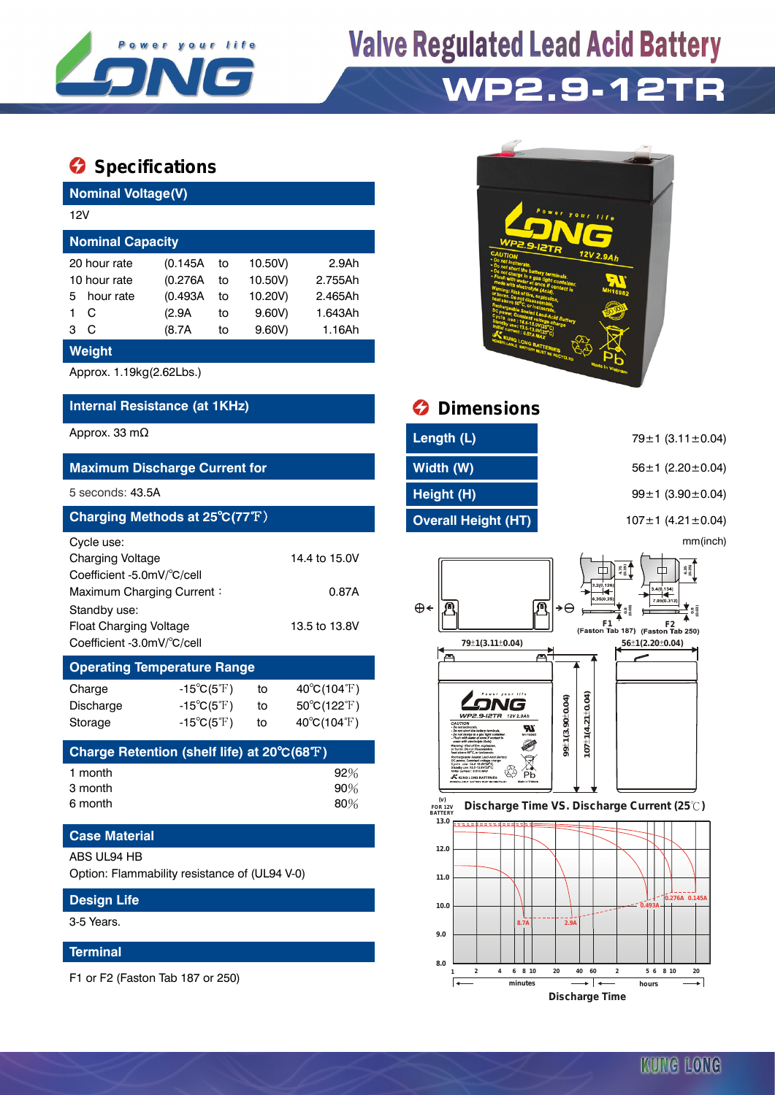

# **Valve Regulated Lead Acid Battery WP2.9-12TR**

## **Specifications**

| <b>Nominal Voltage(V)</b>                 |           |          |    |         |                   |  |  |  |
|-------------------------------------------|-----------|----------|----|---------|-------------------|--|--|--|
| 12V                                       |           |          |    |         |                   |  |  |  |
| <b>Nominal Capacity</b>                   |           |          |    |         |                   |  |  |  |
| 10.50V)<br>(0.145A)<br>20 hour rate<br>to |           |          |    |         | 2.9A <sub>h</sub> |  |  |  |
| 10 hour rate                              |           | (0.276A) | to | 10.50V) | 2.755Ah           |  |  |  |
| 5                                         | hour rate | (0.493A) | to | 10.20V) | 2.465Ah           |  |  |  |
| C<br>1                                    |           | (2.9A    | to | 9.60V   | 1.643Ah           |  |  |  |
| C<br>3                                    |           | (8.7A    | to | 9.60V   | 1.16Ah            |  |  |  |
| Weight                                    |           |          |    |         |                   |  |  |  |
| Approx. 1.19kg(2.62Lbs.)                  |           |          |    |         |                   |  |  |  |

## **Internal Resistance (at 1KHz) Dimensions**

| <b>Maximum Discharge Current for</b>                                                                                                                                                                                       |                                                             |                |                                                                           |  |  |  |  |  |
|----------------------------------------------------------------------------------------------------------------------------------------------------------------------------------------------------------------------------|-------------------------------------------------------------|----------------|---------------------------------------------------------------------------|--|--|--|--|--|
| 5 seconds: 43.5A                                                                                                                                                                                                           |                                                             |                |                                                                           |  |  |  |  |  |
| Charging Methods at 25°C(77°F)                                                                                                                                                                                             |                                                             |                |                                                                           |  |  |  |  |  |
| Cycle use:<br><b>Charging Voltage</b><br>14.4 to 15.0V<br>Coefficient -5.0mV/°C/cell<br>Maximum Charging Current:<br>0.87A<br>Standby use:<br>13.5 to 13.8V<br><b>Float Charging Voltage</b><br>Coefficient -3.0mV/°C/cell |                                                             |                |                                                                           |  |  |  |  |  |
| <b>Operating Temperature Range</b>                                                                                                                                                                                         |                                                             |                |                                                                           |  |  |  |  |  |
| Charge<br><b>Discharge</b><br>Storage                                                                                                                                                                                      | $-15^{\circ}C(5^{\circ}F)$<br>-15°C(5°F) $\,$<br>-15°C(5°F) | to<br>to<br>to | $40^{\circ}C(104^{\circ}F)$<br>50°C(122°F)<br>$40^{\circ}C(104^{\circ}F)$ |  |  |  |  |  |
| Charge Retention (shelf life) at $20^{\circ}C(68^{\circ}F)$                                                                                                                                                                |                                                             |                |                                                                           |  |  |  |  |  |
| 1 month<br>3 month<br>6 month                                                                                                                                                                                              |                                                             |                | 92%<br>90%<br>80%                                                         |  |  |  |  |  |
| <b>Case Material</b>                                                                                                                                                                                                       |                                                             |                |                                                                           |  |  |  |  |  |
| ABS UL94 HB<br>Option: Flammability resistance of (UL94 V-0)                                                                                                                                                               |                                                             |                |                                                                           |  |  |  |  |  |
| <b>Design Life</b>                                                                                                                                                                                                         |                                                             |                |                                                                           |  |  |  |  |  |

3-5 Years.

### **Terminal**

F1 or F2 (Faston Tab 187 or 250)



| Approx. 33 m $\Omega$                | Length (L)                 | 79 $\pm$ 1 (3.11 $\pm$ 0.04)  |
|--------------------------------------|----------------------------|-------------------------------|
| <b>Maximum Discharge Current for</b> | Width (W)                  | $56 \pm 1$ (2.20 $\pm$ 0.04)  |
| 5 seconds: 43.5A                     | Height (H)                 | $99 \pm 1$ (3.90 $\pm$ 0.04)  |
| Charging Methods at 25°C(77°F)       | <b>Overall Height (HT)</b> | 107 $\pm$ 1 (4.21 $\pm$ 0.04) |
| C <sub>1</sub>                       |                            | mm/inoh)                      |

mm(inch)



 **FOR 12V BATTERY Discharge Time VS. Discharge Current (25 ℃)**